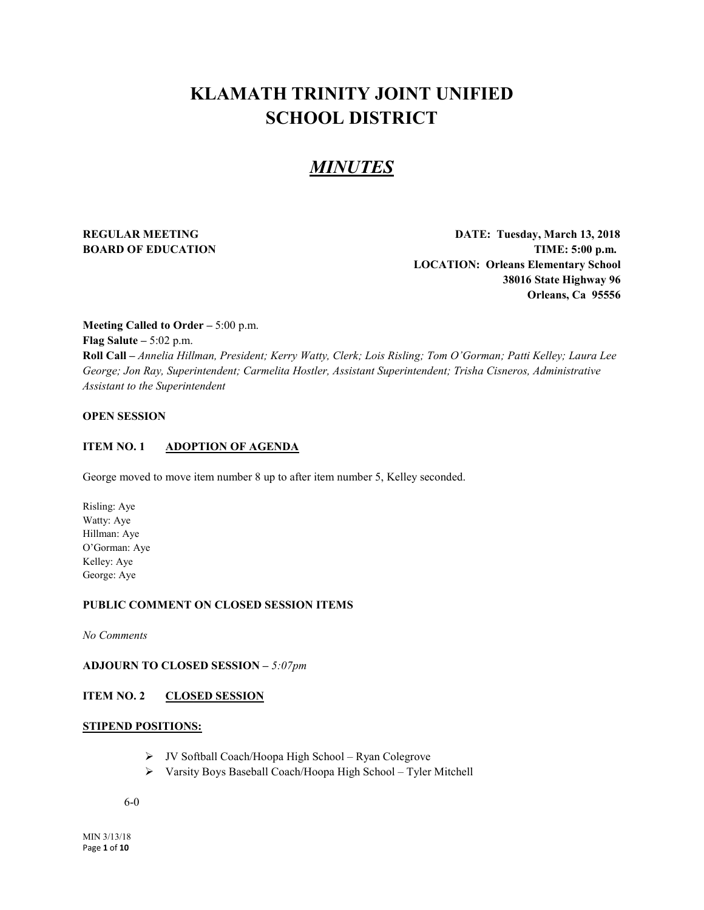# **KLAMATH TRINITY JOINT UNIFIED SCHOOL DISTRICT**

# *MINUTES*

**REGULAR MEETING DATE: Tuesday, March 13, 2018 BOARD OF EDUCATION TIME:** 5:00 p.m. **LOCATION: Orleans Elementary School 38016 State Highway 96 Orleans, Ca 95556**

**Meeting Called to Order –** 5:00 p.m. **Flag Salute –** 5:02 p.m. **Roll Call –** *Annelia Hillman, President; Kerry Watty, Clerk; Lois Risling; Tom O'Gorman; Patti Kelley; Laura Lee George; Jon Ray, Superintendent; Carmelita Hostler, Assistant Superintendent; Trisha Cisneros, Administrative Assistant to the Superintendent*

# **OPEN SESSION**

#### **ITEM NO. 1 ADOPTION OF AGENDA**

George moved to move item number 8 up to after item number 5, Kelley seconded.

Risling: Aye Watty: Aye Hillman: Aye O'Gorman: Aye Kelley: Aye George: Aye

#### **PUBLIC COMMENT ON CLOSED SESSION ITEMS**

*No Comments*

# **ADJOURN TO CLOSED SESSION –** *5:07pm*

# **ITEM NO. 2 CLOSED SESSION**

# **STIPEND POSITIONS:**

- JV Softball Coach/Hoopa High School Ryan Colegrove
- Varsity Boys Baseball Coach/Hoopa High School Tyler Mitchell

6-0

MIN 3/13/18 Page **1** of **10**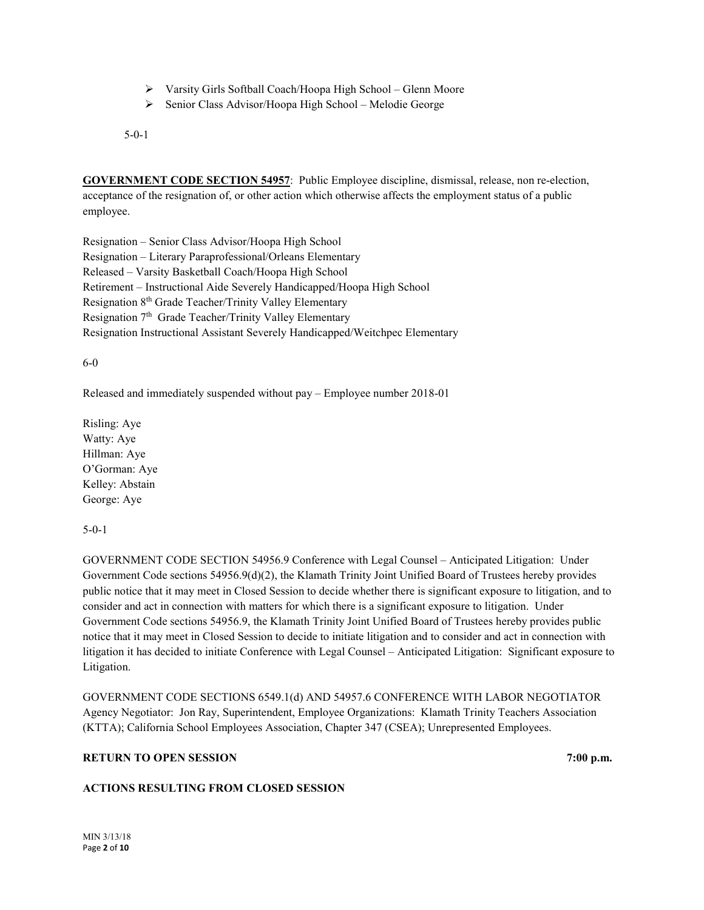- Varsity Girls Softball Coach/Hoopa High School Glenn Moore
- Senior Class Advisor/Hoopa High School Melodie George

5-0-1

**GOVERNMENT CODE SECTION 54957**: Public Employee discipline, dismissal, release, non re-election, acceptance of the resignation of, or other action which otherwise affects the employment status of a public employee.

Resignation – Senior Class Advisor/Hoopa High School Resignation – Literary Paraprofessional/Orleans Elementary Released – Varsity Basketball Coach/Hoopa High School Retirement – Instructional Aide Severely Handicapped/Hoopa High School Resignation 8th Grade Teacher/Trinity Valley Elementary Resignation 7<sup>th</sup> Grade Teacher/Trinity Valley Elementary Resignation Instructional Assistant Severely Handicapped/Weitchpec Elementary

6-0

Released and immediately suspended without pay – Employee number 2018-01

Risling: Aye Watty: Aye Hillman: Aye O'Gorman: Aye Kelley: Abstain George: Aye

5-0-1

GOVERNMENT CODE SECTION 54956.9 Conference with Legal Counsel – Anticipated Litigation: Under Government Code sections 54956.9(d)(2), the Klamath Trinity Joint Unified Board of Trustees hereby provides public notice that it may meet in Closed Session to decide whether there is significant exposure to litigation, and to consider and act in connection with matters for which there is a significant exposure to litigation. Under Government Code sections 54956.9, the Klamath Trinity Joint Unified Board of Trustees hereby provides public notice that it may meet in Closed Session to decide to initiate litigation and to consider and act in connection with litigation it has decided to initiate Conference with Legal Counsel – Anticipated Litigation: Significant exposure to Litigation.

GOVERNMENT CODE SECTIONS 6549.1(d) AND 54957.6 CONFERENCE WITH LABOR NEGOTIATOR Agency Negotiator: Jon Ray, Superintendent, Employee Organizations: Klamath Trinity Teachers Association (KTTA); California School Employees Association, Chapter 347 (CSEA); Unrepresented Employees.

# **RETURN TO OPEN SESSION** 7:00 p.m.

#### **ACTIONS RESULTING FROM CLOSED SESSION**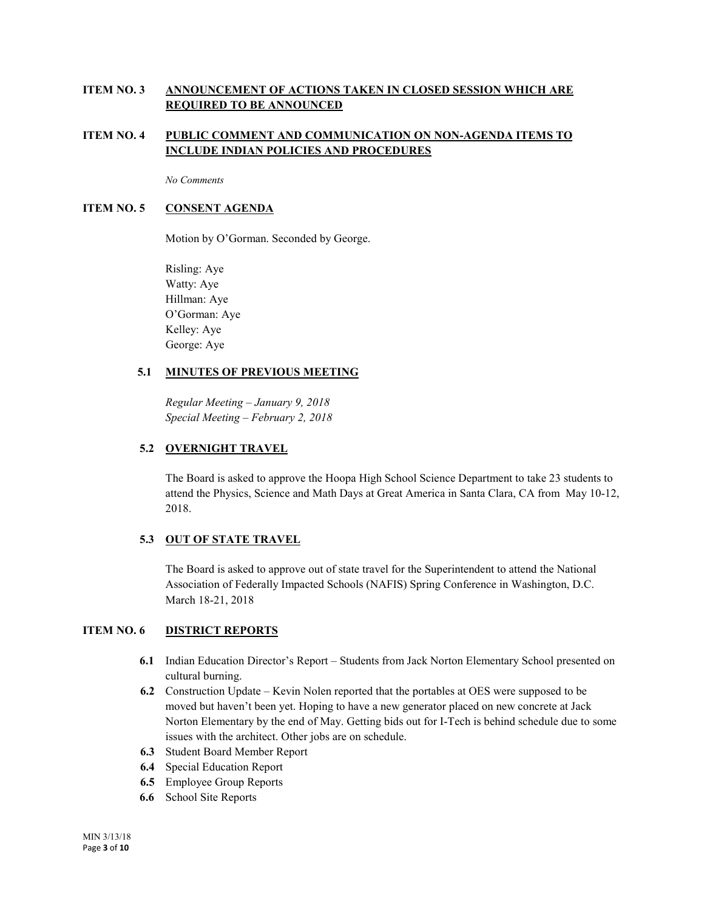# **ITEM NO. 3 ANNOUNCEMENT OF ACTIONS TAKEN IN CLOSED SESSION WHICH ARE REQUIRED TO BE ANNOUNCED**

# **ITEM NO. 4 PUBLIC COMMENT AND COMMUNICATION ON NON-AGENDA ITEMS TO INCLUDE INDIAN POLICIES AND PROCEDURES**

*No Comments*

# **ITEM NO. 5 CONSENT AGENDA**

Motion by O'Gorman. Seconded by George.

Risling: Aye Watty: Aye Hillman: Aye O'Gorman: Aye Kelley: Aye George: Aye

# **5.1 MINUTES OF PREVIOUS MEETING**

*Regular Meeting – January 9, 2018 Special Meeting – February 2, 2018*

# **5.2 OVERNIGHT TRAVEL**

The Board is asked to approve the Hoopa High School Science Department to take 23 students to attend the Physics, Science and Math Days at Great America in Santa Clara, CA from May 10-12, 2018.

# **5.3 OUT OF STATE TRAVEL**

The Board is asked to approve out of state travel for the Superintendent to attend the National Association of Federally Impacted Schools (NAFIS) Spring Conference in Washington, D.C. March 18-21, 2018

# **ITEM NO. 6 DISTRICT REPORTS**

- **6.1** Indian Education Director's Report Students from Jack Norton Elementary School presented on cultural burning.
- **6.2** Construction Update Kevin Nolen reported that the portables at OES were supposed to be moved but haven't been yet. Hoping to have a new generator placed on new concrete at Jack Norton Elementary by the end of May. Getting bids out for I-Tech is behind schedule due to some issues with the architect. Other jobs are on schedule.
- **6.3** Student Board Member Report
- **6.4** Special Education Report
- **6.5** Employee Group Reports
- **6.6** School Site Reports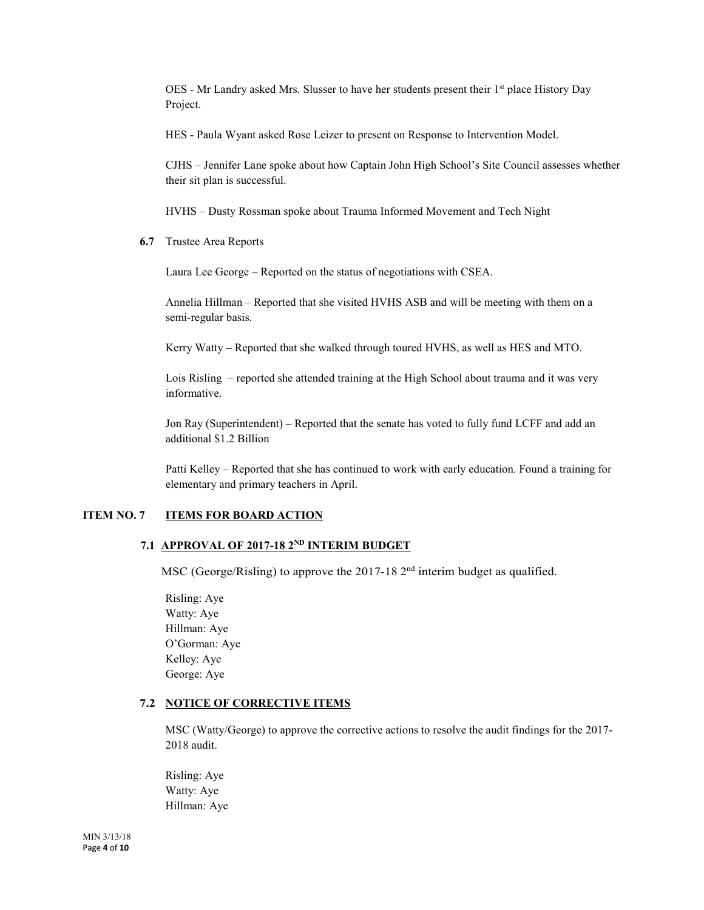OES - Mr Landry asked Mrs. Slusser to have her students present their 1<sup>st</sup> place History Day Project.

HES - Paula Wyant asked Rose Leizer to present on Response to Intervention Model.

CJHS – Jennifer Lane spoke about how Captain John High School's Site Council assesses whether their sit plan is successful.

HVHS – Dusty Rossman spoke about Trauma Informed Movement and Tech Night

**6.7** Trustee Area Reports

Laura Lee George – Reported on the status of negotiations with CSEA.

Annelia Hillman – Reported that she visited HVHS ASB and will be meeting with them on a semi-regular basis.

Kerry Watty – Reported that she walked through toured HVHS, as well as HES and MTO.

Lois Risling – reported she attended training at the High School about trauma and it was very informative.

Jon Ray (Superintendent) – Reported that the senate has voted to fully fund LCFF and add an additional \$1.2 Billion

Patti Kelley – Reported that she has continued to work with early education. Found a training for elementary and primary teachers in April.

# **ITEM NO. 7 ITEMS FOR BOARD ACTION**

# **7.1 APPROVAL OF 2017-18 2ND INTERIM BUDGET**

MSC (George/Risling) to approve the 2017-18 2<sup>nd</sup> interim budget as qualified.

Risling: Aye Watty: Aye Hillman: Aye O'Gorman: Aye Kelley: Aye George: Aye

#### **7.2 NOTICE OF CORRECTIVE ITEMS**

MSC (Watty/George) to approve the corrective actions to resolve the audit findings for the 2017- 2018 audit.

Risling: Aye Watty: Aye Hillman: Aye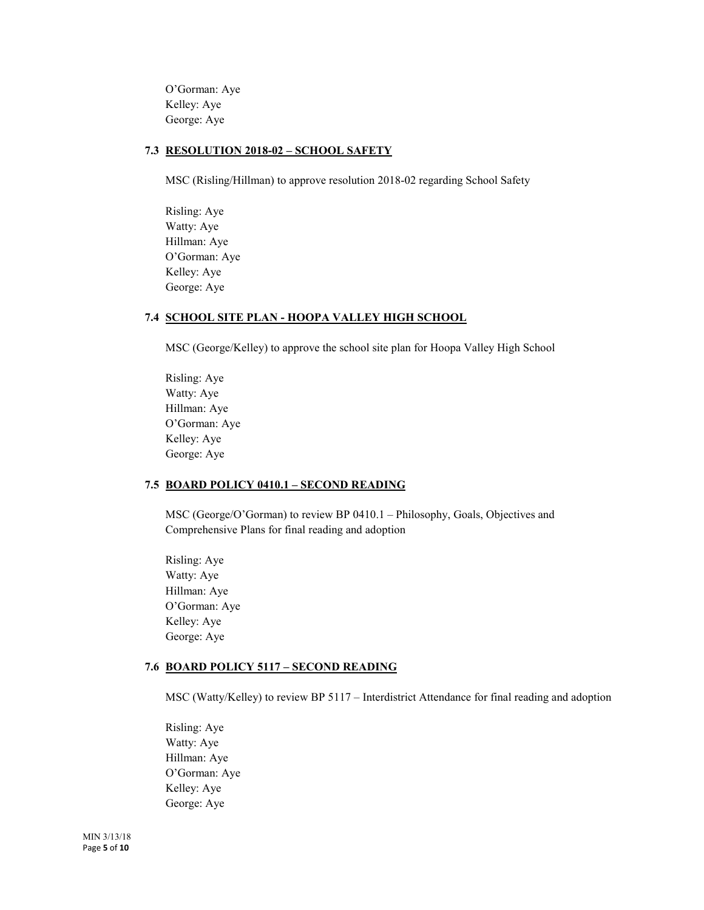O'Gorman: Aye Kelley: Aye George: Aye

# **7.3 RESOLUTION 2018-02 – SCHOOL SAFETY**

MSC (Risling/Hillman) to approve resolution 2018-02 regarding School Safety

Risling: Aye Watty: Aye Hillman: Aye O'Gorman: Aye Kelley: Aye George: Aye

#### **7.4 SCHOOL SITE PLAN - HOOPA VALLEY HIGH SCHOOL**

MSC (George/Kelley) to approve the school site plan for Hoopa Valley High School

Risling: Aye Watty: Aye Hillman: Aye O'Gorman: Aye Kelley: Aye George: Aye

#### **7.5 BOARD POLICY 0410.1 – SECOND READING**

MSC (George/O'Gorman) to review BP 0410.1 – Philosophy, Goals, Objectives and Comprehensive Plans for final reading and adoption

Risling: Aye Watty: Aye Hillman: Aye O'Gorman: Aye Kelley: Aye George: Aye

#### **7.6 BOARD POLICY 5117 – SECOND READING**

MSC (Watty/Kelley) to review BP 5117 – Interdistrict Attendance for final reading and adoption

Risling: Aye Watty: Aye Hillman: Aye O'Gorman: Aye Kelley: Aye George: Aye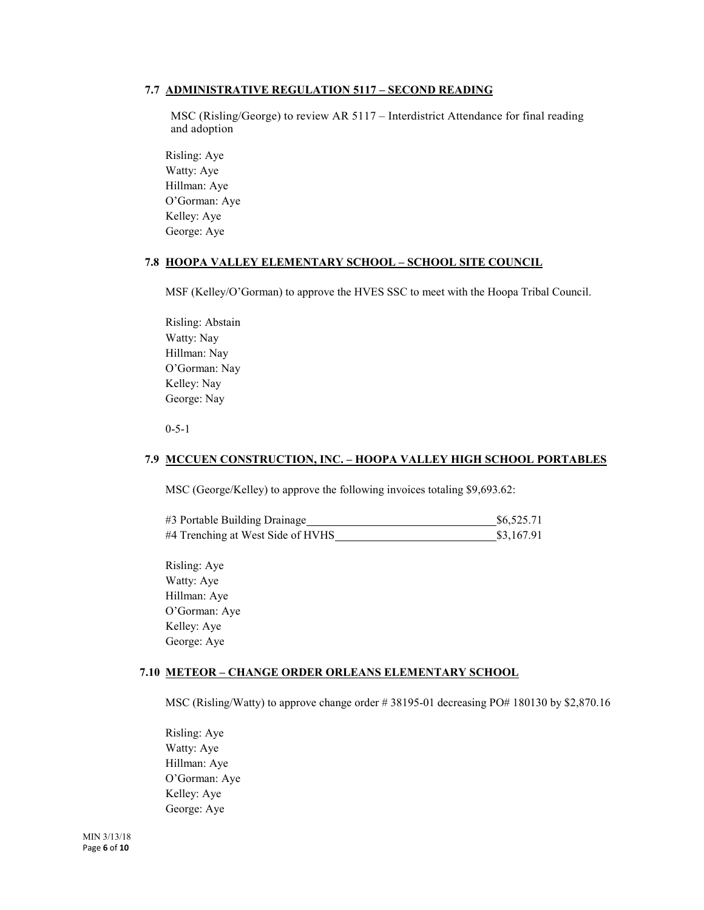# **7.7 ADMINISTRATIVE REGULATION 5117 – SECOND READING**

MSC (Risling/George) to review AR 5117 – Interdistrict Attendance for final reading and adoption

Risling: Aye Watty: Aye Hillman: Aye O'Gorman: Aye Kelley: Aye George: Aye

# **7.8 HOOPA VALLEY ELEMENTARY SCHOOL – SCHOOL SITE COUNCIL**

MSF (Kelley/O'Gorman) to approve the HVES SSC to meet with the Hoopa Tribal Council.

Risling: Abstain Watty: Nay Hillman: Nay O'Gorman: Nay Kelley: Nay George: Nay

0-5-1

#### **7.9 MCCUEN CONSTRUCTION, INC. – HOOPA VALLEY HIGH SCHOOL PORTABLES**

MSC (George/Kelley) to approve the following invoices totaling \$9,693.62:

| #3 Portable Building Drainage     | \$6,525.71 |  |
|-----------------------------------|------------|--|
| #4 Trenching at West Side of HVHS | \$3,167.91 |  |

Risling: Aye Watty: Aye Hillman: Aye O'Gorman: Aye Kelley: Aye George: Aye

#### **7.10 METEOR – CHANGE ORDER ORLEANS ELEMENTARY SCHOOL**

MSC (Risling/Watty) to approve change order # 38195-01 decreasing PO# 180130 by \$2,870.16

Risling: Aye Watty: Aye Hillman: Aye O'Gorman: Aye Kelley: Aye George: Aye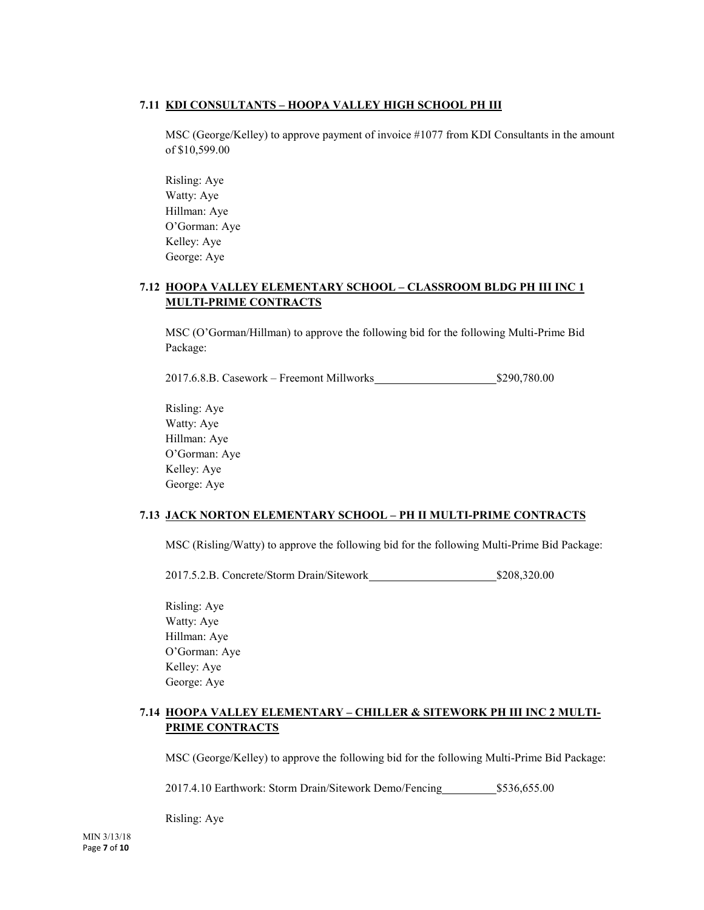# **7.11 KDI CONSULTANTS – HOOPA VALLEY HIGH SCHOOL PH III**

MSC (George/Kelley) to approve payment of invoice #1077 from KDI Consultants in the amount of \$10,599.00

Risling: Aye Watty: Aye Hillman: Aye O'Gorman: Aye Kelley: Aye George: Aye

# **7.12 HOOPA VALLEY ELEMENTARY SCHOOL – CLASSROOM BLDG PH III INC 1 MULTI-PRIME CONTRACTS**

MSC (O'Gorman/Hillman) to approve the following bid for the following Multi-Prime Bid Package:

2017.6.8.B. Casework – Freemont Millworks \$290,780.00

Risling: Aye Watty: Aye Hillman: Aye O'Gorman: Aye Kelley: Aye George: Aye

# **7.13 JACK NORTON ELEMENTARY SCHOOL – PH II MULTI-PRIME CONTRACTS**

MSC (Risling/Watty) to approve the following bid for the following Multi-Prime Bid Package:

2017.5.2.B. Concrete/Storm Drain/Sitework \$208,320.00

Risling: Aye Watty: Aye Hillman: Aye O'Gorman: Aye Kelley: Aye George: Aye

# **7.14 HOOPA VALLEY ELEMENTARY – CHILLER & SITEWORK PH III INC 2 MULTI-PRIME CONTRACTS**

MSC (George/Kelley) to approve the following bid for the following Multi-Prime Bid Package:

2017.4.10 Earthwork: Storm Drain/Sitework Demo/Fencing \$536,655.00

Risling: Aye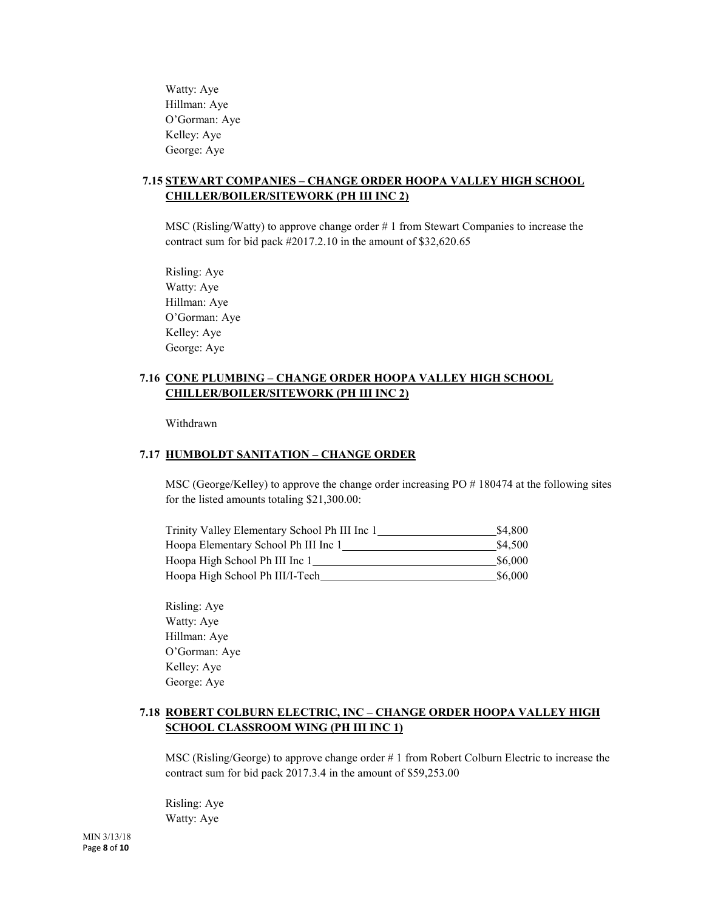Watty: Aye Hillman: Aye O'Gorman: Aye Kelley: Aye George: Aye

# **7.15 STEWART COMPANIES – CHANGE ORDER HOOPA VALLEY HIGH SCHOOL CHILLER/BOILER/SITEWORK (PH III INC 2)**

MSC (Risling/Watty) to approve change order # 1 from Stewart Companies to increase the contract sum for bid pack #2017.2.10 in the amount of \$32,620.65

Risling: Aye Watty: Aye Hillman: Aye O'Gorman: Aye Kelley: Aye George: Aye

# **7.16 CONE PLUMBING – CHANGE ORDER HOOPA VALLEY HIGH SCHOOL CHILLER/BOILER/SITEWORK (PH III INC 2)**

Withdrawn

# **7.17 HUMBOLDT SANITATION – CHANGE ORDER**

MSC (George/Kelley) to approve the change order increasing PO # 180474 at the following sites for the listed amounts totaling \$21,300.00:

| Trinity Valley Elementary School Ph III Inc 1 | \$4.800 |
|-----------------------------------------------|---------|
| Hoopa Elementary School Ph III Inc 1          | \$4.500 |
| Hoopa High School Ph III Inc 1                | \$6,000 |
| Hoopa High School Ph III/I-Tech               | \$6,000 |

Risling: Aye Watty: Aye Hillman: Aye O'Gorman: Aye Kelley: Aye George: Aye

# **7.18 ROBERT COLBURN ELECTRIC, INC – CHANGE ORDER HOOPA VALLEY HIGH SCHOOL CLASSROOM WING (PH III INC 1)**

MSC (Risling/George) to approve change order # 1 from Robert Colburn Electric to increase the contract sum for bid pack 2017.3.4 in the amount of \$59,253.00

Risling: Aye Watty: Aye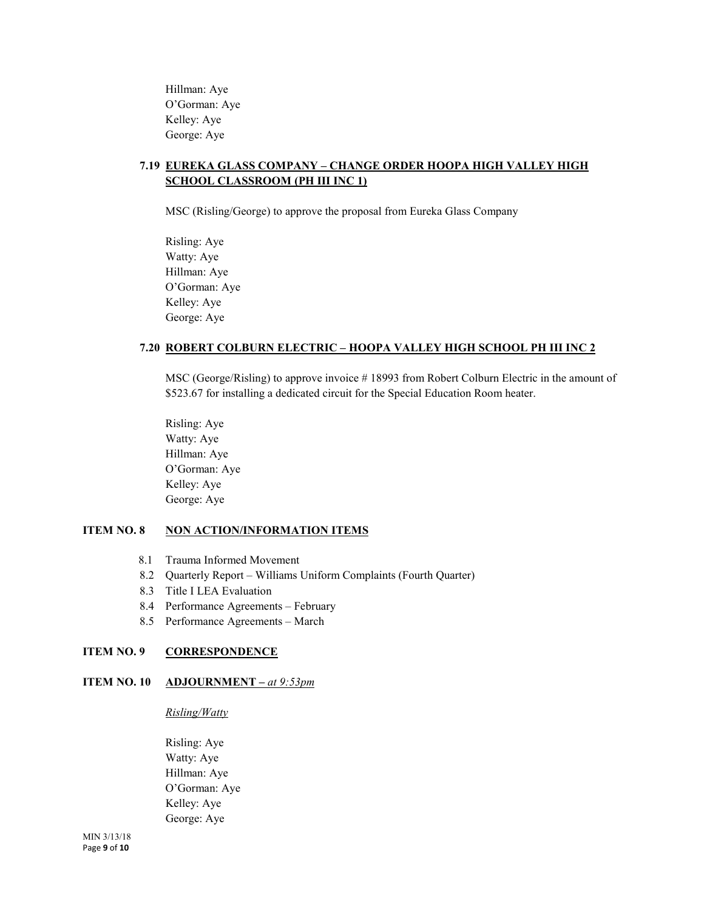Hillman: Aye O'Gorman: Aye Kelley: Aye George: Aye

# **7.19 EUREKA GLASS COMPANY – CHANGE ORDER HOOPA HIGH VALLEY HIGH SCHOOL CLASSROOM (PH III INC 1)**

MSC (Risling/George) to approve the proposal from Eureka Glass Company

Risling: Aye Watty: Aye Hillman: Aye O'Gorman: Aye Kelley: Aye George: Aye

# **7.20 ROBERT COLBURN ELECTRIC – HOOPA VALLEY HIGH SCHOOL PH III INC 2**

MSC (George/Risling) to approve invoice # 18993 from Robert Colburn Electric in the amount of \$523.67 for installing a dedicated circuit for the Special Education Room heater.

Risling: Aye Watty: Aye Hillman: Aye O'Gorman: Aye Kelley: Aye George: Aye

# **ITEM NO. 8 NON ACTION/INFORMATION ITEMS**

- 8.1 Trauma Informed Movement
- 8.2 Quarterly Report Williams Uniform Complaints (Fourth Quarter)
- 8.3 Title I LEA Evaluation
- 8.4 Performance Agreements February
- 8.5 Performance Agreements March

# **ITEM NO. 9 CORRESPONDENCE**

# **ITEM NO. 10 ADJOURNMENT –** *at 9:53pm*

#### *Risling/Watty*

Risling: Aye Watty: Aye Hillman: Aye O'Gorman: Aye Kelley: Aye George: Aye